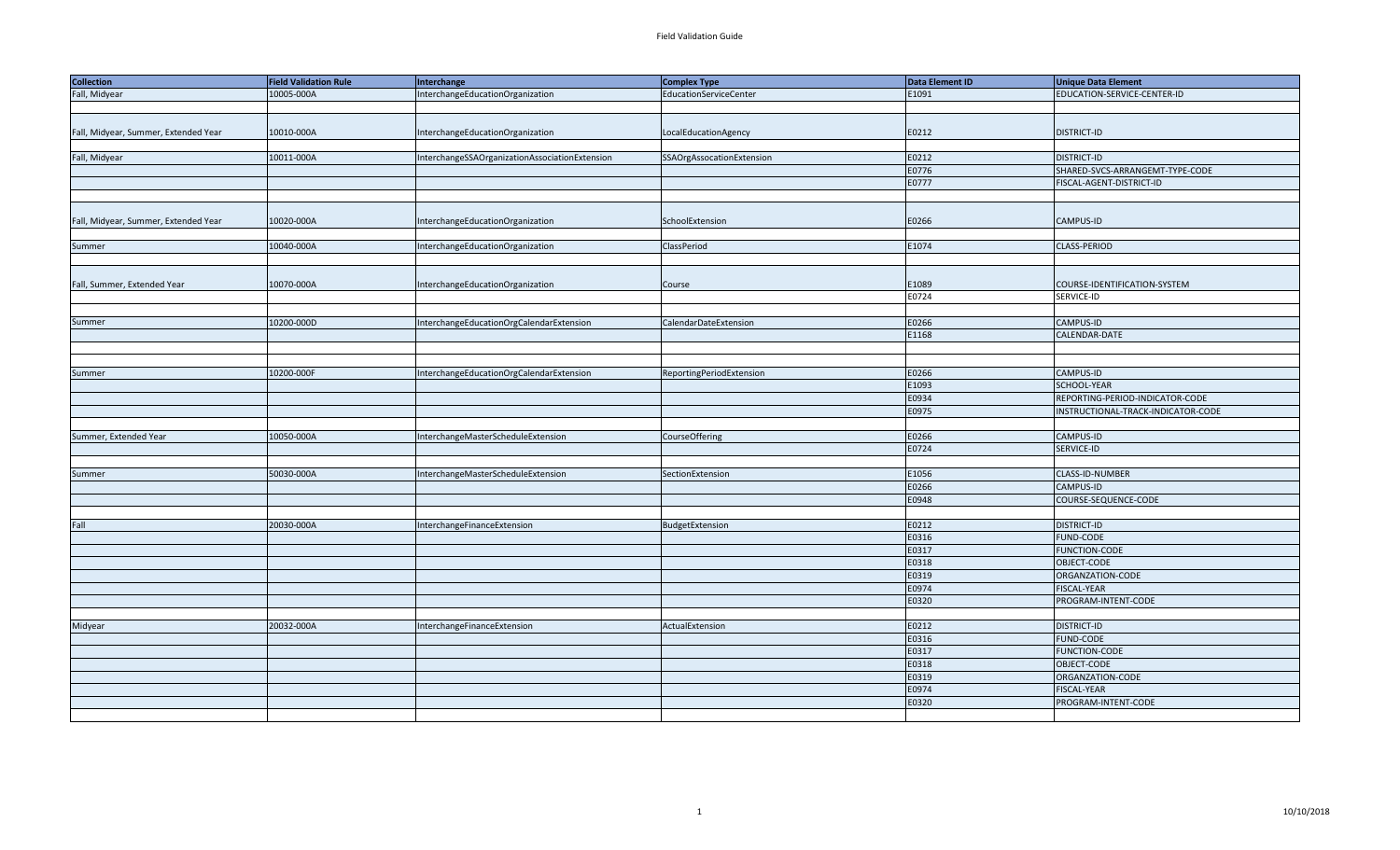| <b>Collection</b>                    | <b>Field Validation Rule</b> | Interchange                                    | Complex Type              | Data Element ID | <b>Unique Data Element</b>         |
|--------------------------------------|------------------------------|------------------------------------------------|---------------------------|-----------------|------------------------------------|
| Fall, Midyear                        | 10005-000A                   | InterchangeEducationOrganization               | EducationServiceCenter    | E1091           | EDUCATION-SERVICE-CENTER-ID        |
|                                      |                              |                                                |                           |                 |                                    |
|                                      |                              |                                                |                           |                 |                                    |
| Fall, Midyear, Summer, Extended Year | 10010-000A                   | InterchangeEducationOrganization               | LocalEducationAgency      | E0212           | <b>DISTRICT-ID</b>                 |
|                                      |                              |                                                |                           |                 |                                    |
| Fall, Midyear                        | 10011-000A                   | InterchangeSSAOrganizationAssociationExtension | SSAOrgAssocationExtension | E0212           | <b>DISTRICT-ID</b>                 |
|                                      |                              |                                                |                           | E0776           | SHARED-SVCS-ARRANGEMT-TYPE-CODE    |
|                                      |                              |                                                |                           | E0777           | FISCAL-AGENT-DISTRICT-ID           |
|                                      |                              |                                                |                           |                 |                                    |
|                                      |                              |                                                |                           |                 |                                    |
| Fall, Midyear, Summer, Extended Year | 10020-000A                   | InterchangeEducationOrganization               | SchoolExtension           | E0266           | CAMPUS-ID                          |
|                                      |                              |                                                |                           |                 |                                    |
| Summer                               | 10040-000A                   | InterchangeEducationOrganization               | ClassPeriod               | E1074           | CLASS-PERIOD                       |
|                                      |                              |                                                |                           |                 |                                    |
|                                      |                              |                                                |                           |                 |                                    |
| Fall, Summer, Extended Year          | 10070-000A                   | InterchangeEducationOrganization               | Course                    | E1089           | COURSE-IDENTIFICATION-SYSTEM       |
|                                      |                              |                                                |                           | E0724           | SERVICE-ID                         |
|                                      |                              |                                                |                           |                 |                                    |
| Summer                               | 10200-000D                   | InterchangeEducationOrgCalendarExtension       | CalendarDateExtension     | E0266           | CAMPUS-ID                          |
|                                      |                              |                                                |                           | E1168           | CALENDAR-DATE                      |
|                                      |                              |                                                |                           |                 |                                    |
|                                      |                              |                                                |                           |                 |                                    |
| Summer                               | 10200-000F                   | InterchangeEducationOrgCalendarExtension       | ReportingPeriodExtension  | E0266           | CAMPUS-ID                          |
|                                      |                              |                                                |                           | E1093           | SCHOOL-YEAR                        |
|                                      |                              |                                                |                           | E0934           | REPORTING-PERIOD-INDICATOR-CODE    |
|                                      |                              |                                                |                           | E0975           | INSTRUCTIONAL-TRACK-INDICATOR-CODE |
|                                      |                              |                                                |                           |                 |                                    |
| Summer, Extended Year                | 10050-000A                   | InterchangeMasterScheduleExtension             | CourseOffering            | E0266           | CAMPUS-ID                          |
|                                      |                              |                                                |                           | E0724           | SERVICE-ID                         |
|                                      |                              |                                                |                           |                 |                                    |
| Summer                               | 50030-000A                   | InterchangeMasterScheduleExtension             | SectionExtension          | E1056           | CLASS-ID-NUMBER                    |
|                                      |                              |                                                |                           | E0266           | CAMPUS-ID                          |
|                                      |                              |                                                |                           | E0948           | COURSE-SEQUENCE-CODE               |
|                                      |                              |                                                |                           |                 |                                    |
| Fall                                 |                              |                                                |                           |                 |                                    |
|                                      | 20030-000A                   | InterchangeFinanceExtension                    | BudgetExtension           | E0212<br>E0316  | DISTRICT-ID<br><b>FUND-CODE</b>    |
|                                      |                              |                                                |                           | E0317           | <b>FUNCTION-CODE</b>               |
|                                      |                              |                                                |                           | E0318           |                                    |
|                                      |                              |                                                |                           |                 | OBJECT-CODE<br>ORGANZATION-CODE    |
|                                      |                              |                                                |                           | E0319<br>E0974  |                                    |
|                                      |                              |                                                |                           |                 | <b>FISCAL-YEAR</b>                 |
|                                      |                              |                                                |                           | E0320           | PROGRAM-INTENT-CODE                |
|                                      |                              |                                                |                           |                 |                                    |
| Midyear                              | 20032-000A                   | InterchangeFinanceExtension                    | ActualExtension           | E0212           | <b>DISTRICT-ID</b>                 |
|                                      |                              |                                                |                           | E0316           | <b>FUND-CODE</b>                   |
|                                      |                              |                                                |                           | E0317           | <b>FUNCTION-CODE</b>               |
|                                      |                              |                                                |                           | E0318           | OBJECT-CODE                        |
|                                      |                              |                                                |                           | E0319           | ORGANZATION-CODE                   |
|                                      |                              |                                                |                           | E0974           | FISCAL-YEAR                        |
|                                      |                              |                                                |                           | E0320           | PROGRAM-INTENT-CODE                |
|                                      |                              |                                                |                           |                 |                                    |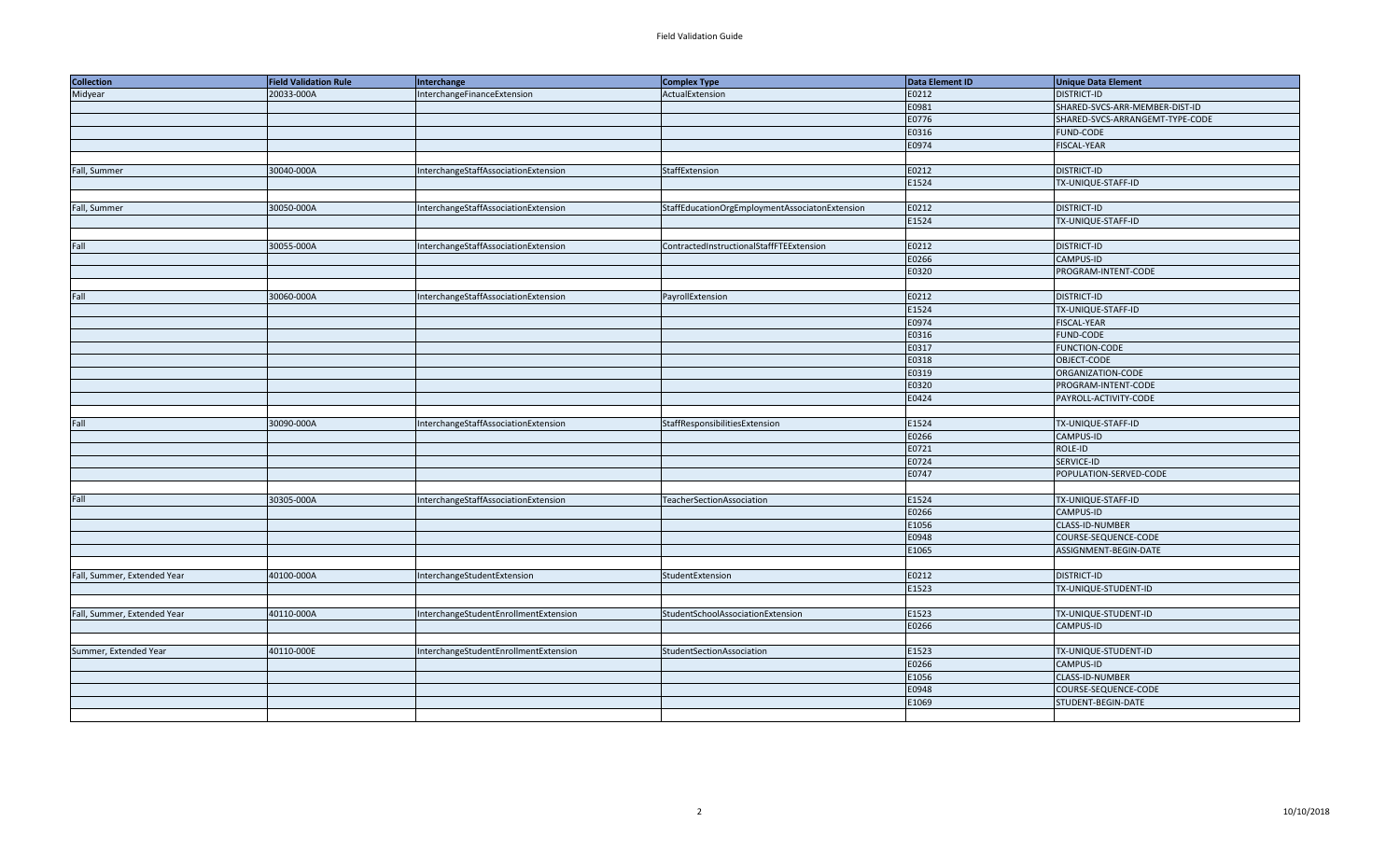| <b>Collection</b>           | <b>Field Validation Rule</b> | Interchange                           | <b>Complex Type</b>                            | Data Element ID | <b>Unique Data Element</b>      |
|-----------------------------|------------------------------|---------------------------------------|------------------------------------------------|-----------------|---------------------------------|
| Midyear                     | 20033-000A                   | InterchangeFinanceExtension           | ActualExtension                                | E0212           | <b>DISTRICT-ID</b>              |
|                             |                              |                                       |                                                | E0981           | SHARED-SVCS-ARR-MEMBER-DIST-ID  |
|                             |                              |                                       |                                                | E0776           | SHARED-SVCS-ARRANGEMT-TYPE-CODE |
|                             |                              |                                       |                                                | E0316           | <b>FUND-CODE</b>                |
|                             |                              |                                       |                                                | E0974           | <b>FISCAL-YEAR</b>              |
|                             |                              |                                       |                                                |                 |                                 |
| Fall, Summer                | 30040-000A                   | InterchangeStaffAssociationExtension  | StaffExtension                                 | E0212           | <b>DISTRICT-ID</b>              |
|                             |                              |                                       |                                                | E1524           | TX-UNIQUE-STAFF-ID              |
|                             |                              |                                       |                                                |                 |                                 |
| Fall, Summer                | 30050-000A                   | InterchangeStaffAssociationExtension  | StaffEducationOrgEmploymentAssociatonExtension | E0212           | <b>DISTRICT-ID</b>              |
|                             |                              |                                       |                                                | E1524           | TX-UNIQUE-STAFF-ID              |
|                             |                              |                                       |                                                |                 |                                 |
| Fall                        | 30055-000A                   | InterchangeStaffAssociationExtension  | ContractedInstructionalStaffFTEExtension       | E0212           | <b>DISTRICT-ID</b>              |
|                             |                              |                                       |                                                | E0266           | CAMPUS-ID                       |
|                             |                              |                                       |                                                | E0320           | PROGRAM-INTENT-CODE             |
|                             |                              |                                       |                                                |                 |                                 |
| Fall                        | 30060-000A                   | InterchangeStaffAssociationExtension  | PayrollExtension                               | E0212           | <b>DISTRICT-ID</b>              |
|                             |                              |                                       |                                                | E1524           | TX-UNIQUE-STAFF-ID              |
|                             |                              |                                       |                                                | E0974           | <b>FISCAL-YEAR</b>              |
|                             |                              |                                       |                                                | E0316           | FUND-CODE                       |
|                             |                              |                                       |                                                | E0317           | <b>FUNCTION-CODE</b>            |
|                             |                              |                                       |                                                | E0318           | OBJECT-CODE                     |
|                             |                              |                                       |                                                | E0319           | ORGANIZATION-CODE               |
|                             |                              |                                       |                                                | E0320           | PROGRAM-INTENT-CODE             |
|                             |                              |                                       |                                                | E0424           | PAYROLL-ACTIVITY-CODE           |
|                             |                              |                                       |                                                |                 |                                 |
| Fall                        | 30090-000A                   | InterchangeStaffAssociationExtension  | StaffResponsibilitiesExtension                 | E1524           | TX-UNIQUE-STAFF-ID              |
|                             |                              |                                       |                                                | E0266           | CAMPUS-ID                       |
|                             |                              |                                       |                                                | E0721           | ROLE-ID                         |
|                             |                              |                                       |                                                | E0724           | SERVICE-ID                      |
|                             |                              |                                       |                                                | E0747           | POPULATION-SERVED-CODE          |
|                             |                              |                                       |                                                |                 |                                 |
| Fall                        | 30305-000A                   | InterchangeStaffAssociationExtension  | TeacherSectionAssociation                      | E1524           | TX-UNIQUE-STAFF-ID              |
|                             |                              |                                       |                                                | E0266           | CAMPUS-ID                       |
|                             |                              |                                       |                                                | E1056           | CLASS-ID-NUMBER                 |
|                             |                              |                                       |                                                | E0948           | COURSE-SEQUENCE-CODE            |
|                             |                              |                                       |                                                | E1065           | ASSIGNMENT-BEGIN-DATE           |
|                             |                              |                                       |                                                |                 |                                 |
| Fall, Summer, Extended Year | 40100-000A                   | InterchangeStudentExtension           | StudentExtension                               | E0212           | <b>DISTRICT-ID</b>              |
|                             |                              |                                       |                                                | E1523           | TX-UNIQUE-STUDENT-ID            |
|                             |                              |                                       |                                                |                 |                                 |
| Fall, Summer, Extended Year | 40110-000A                   | InterchangeStudentEnrollmentExtension | StudentSchoolAssociationExtension              | E1523           | TX-UNIQUE-STUDENT-ID            |
|                             |                              |                                       |                                                | E0266           | CAMPUS-ID                       |
|                             |                              |                                       |                                                |                 |                                 |
| Summer, Extended Year       | 40110-000E                   | InterchangeStudentEnrollmentExtension | StudentSectionAssociation                      | E1523           | TX-UNIQUE-STUDENT-ID            |
|                             |                              |                                       |                                                | E0266           | CAMPUS-ID                       |
|                             |                              |                                       |                                                | E1056           | CLASS-ID-NUMBER                 |
|                             |                              |                                       |                                                | E0948           | COURSE-SEQUENCE-CODE            |
|                             |                              |                                       |                                                | E1069           | STUDENT-BEGIN-DATE              |
|                             |                              |                                       |                                                |                 |                                 |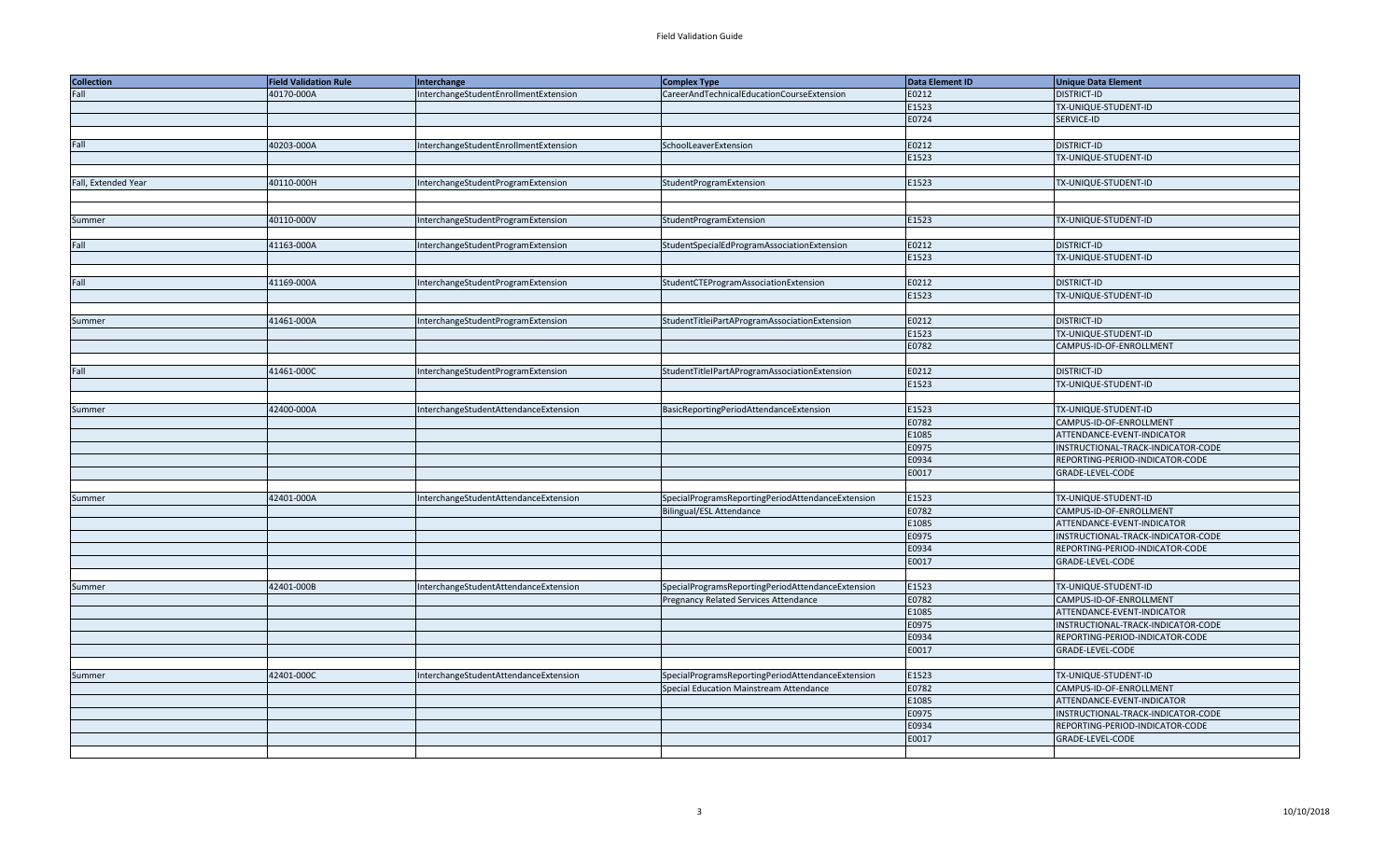| <b>Collection</b>   | <b>Field Validation Rule</b> | Interchange                           | <b>Complex Type</b>                               | Data Element ID | <b>Unique Data Element</b>         |
|---------------------|------------------------------|---------------------------------------|---------------------------------------------------|-----------------|------------------------------------|
| Fall                | 40170-000A                   | InterchangeStudentEnrollmentExtension | CareerAndTechnicalEducationCourseExtension        | E0212           | <b>DISTRICT-ID</b>                 |
|                     |                              |                                       |                                                   | E1523           | TX-UNIQUE-STUDENT-ID               |
|                     |                              |                                       |                                                   | E0724           | SERVICE-ID                         |
|                     |                              |                                       |                                                   |                 |                                    |
| Fall                | 40203-000A                   | InterchangeStudentEnrollmentExtension | SchoolLeaverExtension                             | E0212           | <b>DISTRICT-ID</b>                 |
|                     |                              |                                       |                                                   | E1523           | TX-UNIQUE-STUDENT-ID               |
|                     |                              |                                       |                                                   |                 |                                    |
| Fall, Extended Year | 40110-000H                   | InterchangeStudentProgramExtension    | StudentProgramExtension                           | E1523           | TX-UNIQUE-STUDENT-ID               |
|                     |                              |                                       |                                                   |                 |                                    |
|                     |                              |                                       |                                                   |                 |                                    |
| Summer              | 40110-000V                   | InterchangeStudentProgramExtension    | StudentProgramExtension                           | E1523           | TX-UNIQUE-STUDENT-ID               |
|                     |                              |                                       |                                                   |                 |                                    |
| Fall                | 41163-000A                   | InterchangeStudentProgramExtension    | StudentSpecialEdProgramAssociationExtension       | E0212           | <b>DISTRICT-ID</b>                 |
|                     |                              |                                       |                                                   | E1523           | TX-UNIQUE-STUDENT-ID               |
|                     |                              |                                       |                                                   |                 |                                    |
| Fall                | 41169-000A                   | InterchangeStudentProgramExtension    | StudentCTEProgramAssociationExtension             | E0212           | <b>DISTRICT-ID</b>                 |
|                     |                              |                                       |                                                   | E1523           | TX-UNIQUE-STUDENT-ID               |
|                     |                              |                                       |                                                   |                 |                                    |
| Summer              | 41461-000A                   | InterchangeStudentProgramExtension    | StudentTitleiPartAProgramAssociationExtension     | E0212           | <b>DISTRICT-ID</b>                 |
|                     |                              |                                       |                                                   | E1523           | TX-UNIQUE-STUDENT-ID               |
|                     |                              |                                       |                                                   | E0782           | CAMPUS-ID-OF-ENROLLMENT            |
|                     |                              |                                       |                                                   |                 |                                    |
| Fall                | 41461-000C                   | InterchangeStudentProgramExtension    | StudentTitleIPartAProgramAssociationExtension     | E0212           | <b>DISTRICT-ID</b>                 |
|                     |                              |                                       |                                                   | E1523           | TX-UNIQUE-STUDENT-ID               |
|                     |                              |                                       |                                                   |                 |                                    |
|                     | 42400-000A                   |                                       | BasicReportingPeriodAttendanceExtension           | E1523           | TX-UNIQUE-STUDENT-ID               |
| Summer              |                              | InterchangeStudentAttendanceExtension |                                                   | E0782           | CAMPUS-ID-OF-ENROLLMENT            |
|                     |                              |                                       |                                                   |                 |                                    |
|                     |                              |                                       |                                                   | E1085<br>E0975  | ATTENDANCE-EVENT-INDICATOR         |
|                     |                              |                                       |                                                   |                 | INSTRUCTIONAL-TRACK-INDICATOR-CODE |
|                     |                              |                                       |                                                   | E0934           | REPORTING-PERIOD-INDICATOR-CODE    |
|                     |                              |                                       |                                                   | E0017           | GRADE-LEVEL-CODE                   |
|                     |                              |                                       |                                                   |                 |                                    |
| Summer              | 42401-000A                   | InterchangeStudentAttendanceExtension | SpecialProgramsReportingPeriodAttendanceExtension | E1523           | TX-UNIQUE-STUDENT-ID               |
|                     |                              |                                       | <b>Bilingual/ESL Attendance</b>                   | E0782           | CAMPUS-ID-OF-ENROLLMENT            |
|                     |                              |                                       |                                                   | E1085           | ATTENDANCE-EVENT-INDICATOR         |
|                     |                              |                                       |                                                   | E0975           | INSTRUCTIONAL-TRACK-INDICATOR-CODE |
|                     |                              |                                       |                                                   | E0934           | REPORTING-PERIOD-INDICATOR-CODE    |
|                     |                              |                                       |                                                   | E0017           | GRADE-LEVEL-CODE                   |
|                     |                              |                                       |                                                   |                 |                                    |
| Summer              | 42401-000B                   | InterchangeStudentAttendanceExtension | SpecialProgramsReportingPeriodAttendanceExtension | E1523           | TX-UNIQUE-STUDENT-ID               |
|                     |                              |                                       | Pregnancy Related Services Attendance             | E0782           | CAMPUS-ID-OF-ENROLLMENT            |
|                     |                              |                                       |                                                   | E1085           | ATTENDANCE-EVENT-INDICATOR         |
|                     |                              |                                       |                                                   | E0975           | INSTRUCTIONAL-TRACK-INDICATOR-CODE |
|                     |                              |                                       |                                                   | E0934           | REPORTING-PERIOD-INDICATOR-CODE    |
|                     |                              |                                       |                                                   | E0017           | GRADE-LEVEL-CODE                   |
|                     |                              |                                       |                                                   |                 |                                    |
| Summer              | 42401-000C                   | InterchangeStudentAttendanceExtension | SpecialProgramsReportingPeriodAttendanceExtension | E1523           | TX-UNIQUE-STUDENT-ID               |
|                     |                              |                                       | Special Education Mainstream Attendance           | E0782           | CAMPUS-ID-OF-ENROLLMENT            |
|                     |                              |                                       |                                                   | E1085           | ATTENDANCE-EVENT-INDICATOR         |
|                     |                              |                                       |                                                   | E0975           | INSTRUCTIONAL-TRACK-INDICATOR-CODE |
|                     |                              |                                       |                                                   | E0934           | REPORTING-PERIOD-INDICATOR-CODE    |
|                     |                              |                                       |                                                   | E0017           | <b>GRADE-LEVEL-CODE</b>            |
|                     |                              |                                       |                                                   |                 |                                    |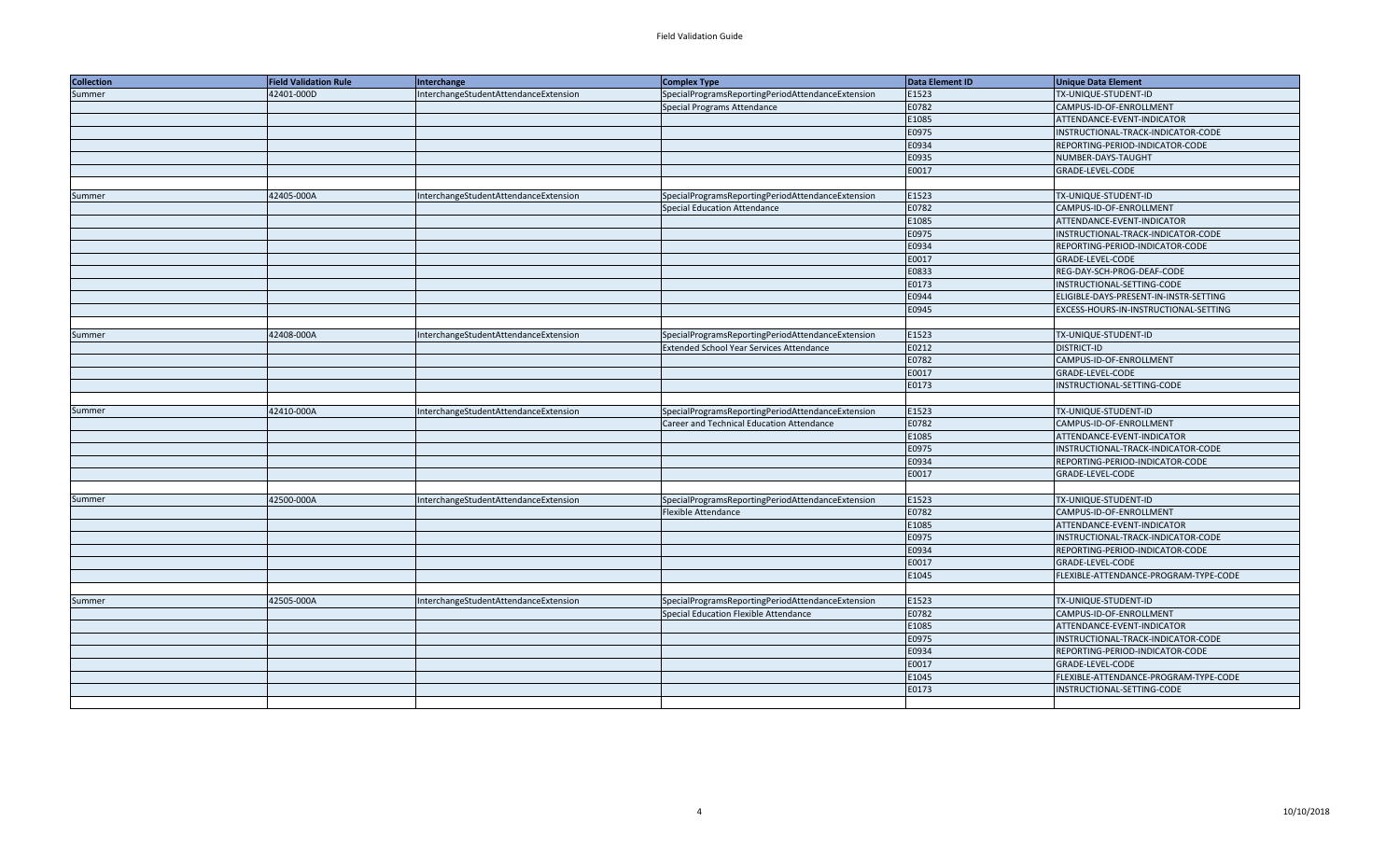| <b>Collection</b> | <b>Field Validation Rule</b> | Interchange                           | Complex Type                                      | Data Element ID | <b>Unique Data Element</b>             |
|-------------------|------------------------------|---------------------------------------|---------------------------------------------------|-----------------|----------------------------------------|
| Summer            | 42401-000D                   | InterchangeStudentAttendanceExtension | SpecialProgramsReportingPeriodAttendanceExtension | E1523           | TX-UNIQUE-STUDENT-ID                   |
|                   |                              |                                       | <b>Special Programs Attendance</b>                | E0782           | CAMPUS-ID-OF-ENROLLMENT                |
|                   |                              |                                       |                                                   | E1085           | ATTENDANCE-EVENT-INDICATOR             |
|                   |                              |                                       |                                                   | E0975           | INSTRUCTIONAL-TRACK-INDICATOR-CODE     |
|                   |                              |                                       |                                                   | E0934           | REPORTING-PERIOD-INDICATOR-CODE        |
|                   |                              |                                       |                                                   | E0935           | NUMBER-DAYS-TAUGHT                     |
|                   |                              |                                       |                                                   | E0017           | GRADE-LEVEL-CODE                       |
|                   |                              |                                       |                                                   |                 |                                        |
| Summer            | 42405-000A                   | InterchangeStudentAttendanceExtension | SpecialProgramsReportingPeriodAttendanceExtension | E1523           | TX-UNIQUE-STUDENT-ID                   |
|                   |                              |                                       | Special Education Attendance                      | E0782           | CAMPUS-ID-OF-ENROLLMENT                |
|                   |                              |                                       |                                                   | E1085           | ATTENDANCE-EVENT-INDICATOR             |
|                   |                              |                                       |                                                   | E0975           | INSTRUCTIONAL-TRACK-INDICATOR-CODE     |
|                   |                              |                                       |                                                   | E0934           | REPORTING-PERIOD-INDICATOR-CODE        |
|                   |                              |                                       |                                                   | E0017           | GRADE-LEVEL-CODE                       |
|                   |                              |                                       |                                                   | E0833           | REG-DAY-SCH-PROG-DEAF-CODE             |
|                   |                              |                                       |                                                   | E0173           | INSTRUCTIONAL-SETTING-CODE             |
|                   |                              |                                       |                                                   | E0944           | ELIGIBLE-DAYS-PRESENT-IN-INSTR-SETTING |
|                   |                              |                                       |                                                   | E0945           | EXCESS-HOURS-IN-INSTRUCTIONAL-SETTING  |
|                   |                              |                                       |                                                   |                 |                                        |
| Summer            | 42408-000A                   | InterchangeStudentAttendanceExtension | SpecialProgramsReportingPeriodAttendanceExtension | E1523           | TX-UNIQUE-STUDENT-ID                   |
|                   |                              |                                       | Extended School Year Services Attendance          | E0212           | <b>DISTRICT-ID</b>                     |
|                   |                              |                                       |                                                   | E0782           | CAMPUS-ID-OF-ENROLLMENT                |
|                   |                              |                                       |                                                   | E0017           | GRADE-LEVEL-CODE                       |
|                   |                              |                                       |                                                   | E0173           | INSTRUCTIONAL-SETTING-CODE             |
|                   |                              |                                       |                                                   |                 |                                        |
| Summer            | 42410-000A                   | InterchangeStudentAttendanceExtension | SpecialProgramsReportingPeriodAttendanceExtension | E1523           | TX-UNIQUE-STUDENT-ID                   |
|                   |                              |                                       | Career and Technical Education Attendance         | E0782           | CAMPUS-ID-OF-ENROLLMENT                |
|                   |                              |                                       |                                                   | E1085           | ATTENDANCE-EVENT-INDICATOR             |
|                   |                              |                                       |                                                   | E0975           | INSTRUCTIONAL-TRACK-INDICATOR-CODE     |
|                   |                              |                                       |                                                   | E0934           | REPORTING-PERIOD-INDICATOR-CODE        |
|                   |                              |                                       |                                                   | E0017           | GRADE-LEVEL-CODE                       |
|                   |                              |                                       |                                                   |                 |                                        |
| Summer            | 42500-000A                   | InterchangeStudentAttendanceExtension | SpecialProgramsReportingPeriodAttendanceExtension | E1523           | TX-UNIQUE-STUDENT-ID                   |
|                   |                              |                                       | Flexible Attendance                               | E0782           | CAMPUS-ID-OF-ENROLLMENT                |
|                   |                              |                                       |                                                   | E1085           | ATTENDANCE-EVENT-INDICATOR             |
|                   |                              |                                       |                                                   | E0975           | INSTRUCTIONAL-TRACK-INDICATOR-CODE     |
|                   |                              |                                       |                                                   | E0934           | REPORTING-PERIOD-INDICATOR-CODE        |
|                   |                              |                                       |                                                   | E0017           | GRADE-LEVEL-CODE                       |
|                   |                              |                                       |                                                   | E1045           | FLEXIBLE-ATTENDANCE-PROGRAM-TYPE-CODE  |
|                   |                              |                                       |                                                   |                 |                                        |
| Summer            | 42505-000A                   | InterchangeStudentAttendanceExtension | SpecialProgramsReportingPeriodAttendanceExtension | E1523           | TX-UNIQUE-STUDENT-ID                   |
|                   |                              |                                       | Special Education Flexible Attendance             | E0782           | CAMPUS-ID-OF-ENROLLMENT                |
|                   |                              |                                       |                                                   | E1085           | ATTENDANCE-EVENT-INDICATOR             |
|                   |                              |                                       |                                                   | E0975           | INSTRUCTIONAL-TRACK-INDICATOR-CODE     |
|                   |                              |                                       |                                                   | E0934           | REPORTING-PERIOD-INDICATOR-CODE        |
|                   |                              |                                       |                                                   | E0017           | GRADE-LEVEL-CODE                       |
|                   |                              |                                       |                                                   | E1045           | FLEXIBLE-ATTENDANCE-PROGRAM-TYPE-CODE  |
|                   |                              |                                       |                                                   | E0173           | INSTRUCTIONAL-SETTING-CODE             |
|                   |                              |                                       |                                                   |                 |                                        |